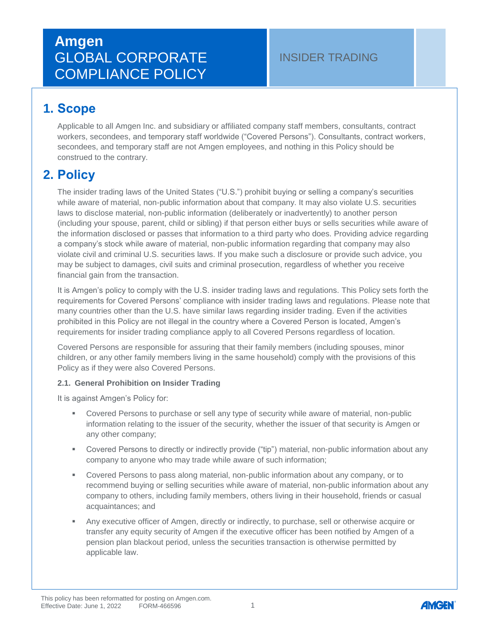### INSIDER TRADING

## **1. Scope**

Applicable to all Amgen Inc. and subsidiary or affiliated company staff members, consultants, contract workers, secondees, and temporary staff worldwide ("Covered Persons"). Consultants, contract workers, secondees, and temporary staff are not Amgen employees, and nothing in this Policy should be construed to the contrary.

## **2. Policy**

The insider trading laws of the United States ("U.S.") prohibit buying or selling a company's securities while aware of material, non-public information about that company. It may also violate U.S. securities laws to disclose material, non-public information (deliberately or inadvertently) to another person (including your spouse, parent, child or sibling) if that person either buys or sells securities while aware of the information disclosed or passes that information to a third party who does. Providing advice regarding a company's stock while aware of material, non-public information regarding that company may also violate civil and criminal U.S. securities laws. If you make such a disclosure or provide such advice, you may be subject to damages, civil suits and criminal prosecution, regardless of whether you receive financial gain from the transaction.

It is Amgen's policy to comply with the U.S. insider trading laws and regulations. This Policy sets forth the requirements for Covered Persons' compliance with insider trading laws and regulations. Please note that many countries other than the U.S. have similar laws regarding insider trading. Even if the activities prohibited in this Policy are not illegal in the country where a Covered Person is located, Amgen's requirements for insider trading compliance apply to all Covered Persons regardless of location.

Covered Persons are responsible for assuring that their family members (including spouses, minor children, or any other family members living in the same household) comply with the provisions of this Policy as if they were also Covered Persons.

#### **2.1. General Prohibition on Insider Trading**

It is against Amgen's Policy for:

- **•** Covered Persons to purchase or sell any type of security while aware of material, non-public information relating to the issuer of the security, whether the issuer of that security is Amgen or any other company;
- Covered Persons to directly or indirectly provide ("tip") material, non-public information about any company to anyone who may trade while aware of such information;
- Covered Persons to pass along material, non-public information about any company, or to recommend buying or selling securities while aware of material, non-public information about any company to others, including family members, others living in their household, friends or casual acquaintances; and
- Any executive officer of Amgen, directly or indirectly, to purchase, sell or otherwise acquire or transfer any equity security of Amgen if the executive officer has been notified by Amgen of a pension plan blackout period, unless the securities transaction is otherwise permitted by applicable law.

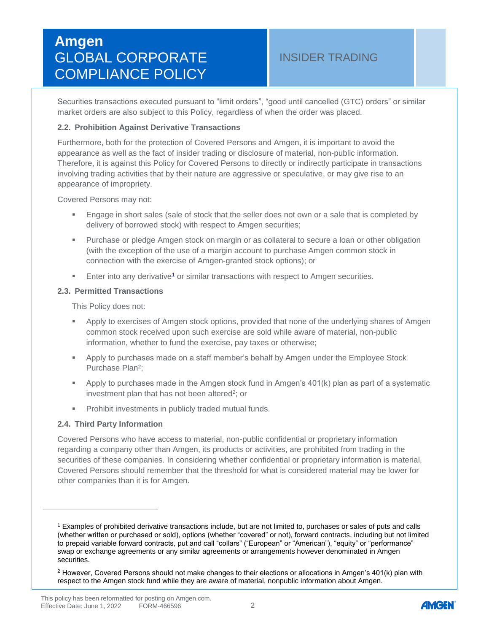### INSIDER TRADING

Securities transactions executed pursuant to "limit orders", "good until cancelled (GTC) orders" or similar market orders are also subject to this Policy, regardless of when the order was placed.

#### **2.2. Prohibition Against Derivative Transactions**

Furthermore, both for the protection of Covered Persons and Amgen, it is important to avoid the appearance as well as the fact of insider trading or disclosure of material, non-public information. Therefore, it is against this Policy for Covered Persons to directly or indirectly participate in transactions involving trading activities that by their nature are aggressive or speculative, or may give rise to an appearance of impropriety.

Covered Persons may not:

- **Engage in short sales (sale of stock that the seller does not own or a sale that is completed by** delivery of borrowed stock) with respect to Amgen securities;
- **Purchase or pledge Amgen stock on margin or as collateral to secure a loan or other obligation** (with the exception of the use of a margin account to purchase Amgen common stock in connection with the exercise of Amgen-granted stock options); or
- <span id="page-1-1"></span>**Enter into any derivative<sup>[1](#page-1-0)</sup> or similar transactions with respect to Amgen securities.**

#### **2.3. Permitted Transactions**

This Policy does not:

- Apply to exercises of Amgen stock options, provided that none of the underlying shares of Amgen common stock received upon such exercise are sold while aware of material, non-public information, whether to fund the exercise, pay taxes or otherwise;
- Apply to purchases made on a staff member's behalf by Amgen under the Employee Stock Purchase Plan<sup>2</sup>;
- Apply to purchases made in the Amgen stock fund in Amgen's 401(k) plan as part of a systematic investment plan that has not been altered<sup>2</sup>; or
- **•** Prohibit investments in publicly traded mutual funds.

#### **2.4. Third Party Information**

 $\overline{a}$ 

Covered Persons who have access to material, non-public confidential or proprietary information regarding a company other than Amgen, its products or activities, are prohibited from trading in the securities of these companies. In considering whether confidential or proprietary information is material, Covered Persons should remember that the threshold for what is considered material may be lower for other companies than it is for Amgen.



<span id="page-1-0"></span>[<sup>1</sup>](#page-1-1) Examples of prohibited derivative transactions include, but are not limited to, purchases or sales of puts and calls (whether written or purchased or sold), options (whether "covered" or not), forward contracts, including but not limited to prepaid variable forward contracts, put and call "collars" ("European" or "American"), "equity" or "performance" swap or exchange agreements or any similar agreements or arrangements however denominated in Amgen securities.

 $2$  However, Covered Persons should not make changes to their elections or allocations in Amgen's 401(k) plan with respect to the Amgen stock fund while they are aware of material, nonpublic information about Amgen.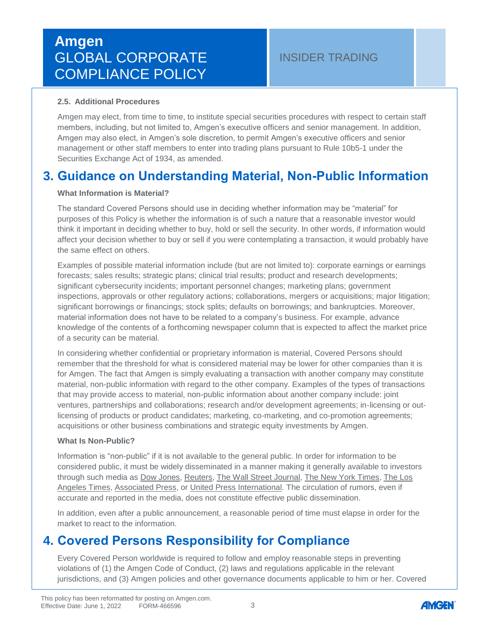#### **2.5. Additional Procedures**

Amgen may elect, from time to time, to institute special securities procedures with respect to certain staff members, including, but not limited to, Amgen's executive officers and senior management. In addition, Amgen may also elect, in Amgen's sole discretion, to permit Amgen's executive officers and senior management or other staff members to enter into trading plans pursuant to Rule 10b5-1 under the Securities Exchange Act of 1934, as amended.

## **3. Guidance on Understanding Material, Non-Public Information**

#### **What Information is Material?**

The standard Covered Persons should use in deciding whether information may be "material" for purposes of this Policy is whether the information is of such a nature that a reasonable investor would think it important in deciding whether to buy, hold or sell the security. In other words, if information would affect your decision whether to buy or sell if you were contemplating a transaction, it would probably have the same effect on others.

Examples of possible material information include (but are not limited to): corporate earnings or earnings forecasts; sales results; strategic plans; clinical trial results; product and research developments; significant cybersecurity incidents; important personnel changes; marketing plans; government inspections, approvals or other regulatory actions; collaborations, mergers or acquisitions; major litigation; significant borrowings or financings; stock splits; defaults on borrowings; and bankruptcies. Moreover, material information does not have to be related to a company's business. For example, advance knowledge of the contents of a forthcoming newspaper column that is expected to affect the market price of a security can be material.

In considering whether confidential or proprietary information is material, Covered Persons should remember that the threshold for what is considered material may be lower for other companies than it is for Amgen. The fact that Amgen is simply evaluating a transaction with another company may constitute material, non-public information with regard to the other company. Examples of the types of transactions that may provide access to material, non-public information about another company include: joint ventures, partnerships and collaborations; research and/or development agreements; in-licensing or outlicensing of products or product candidates; marketing, co-marketing, and co-promotion agreements; acquisitions or other business combinations and strategic equity investments by Amgen.

#### **What Is Non-Public?**

Information is "non-public" if it is not available to the general public. In order for information to be considered public, it must be widely disseminated in a manner making it generally available to investors through such media as Dow Jones, Reuters, The Wall Street Journal, The New York Times, The Los Angeles Times, Associated Press, or United Press International. The circulation of rumors, even if accurate and reported in the media, does not constitute effective public dissemination.

In addition, even after a public announcement, a reasonable period of time must elapse in order for the market to react to the information.

## **4. Covered Persons Responsibility for Compliance**

Every Covered Person worldwide is required to follow and employ reasonable steps in preventing violations of (1) the Amgen Code of Conduct, (2) laws and regulations applicable in the relevant jurisdictions, and (3) Amgen policies and other governance documents applicable to him or her. Covered